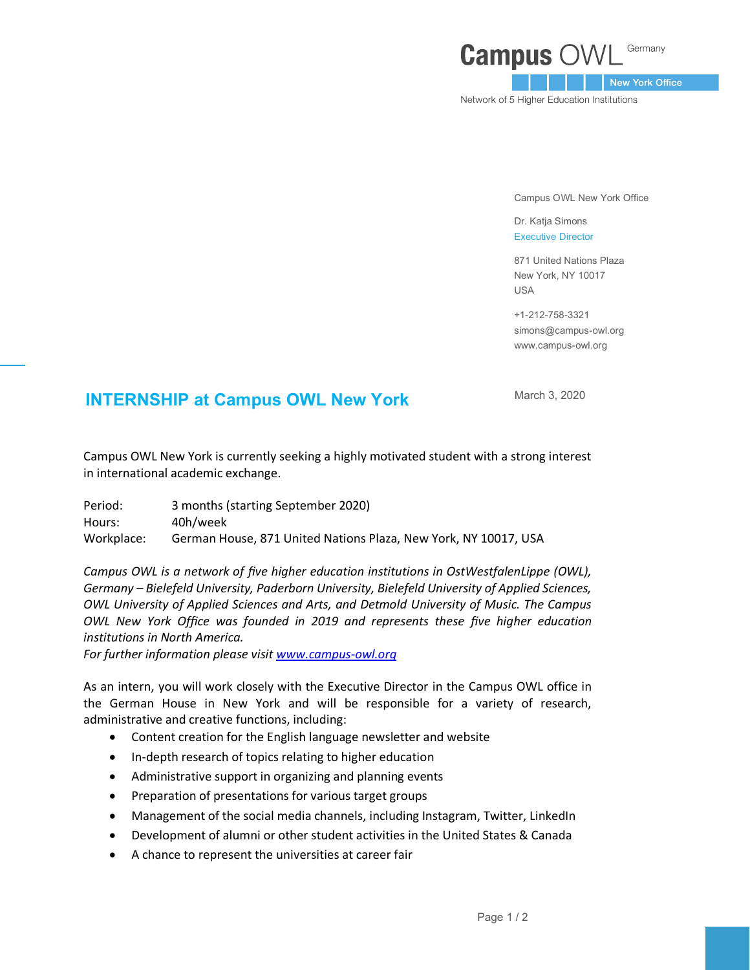## Germany **Campus O**

New York Office

Network of 5 Higher Education Institutions

Campus OWL New York Office

Dr. Katja Simons Executive Director

871 United Nations Plaza New York, NY 10017 USA

+1-212-758-3321 simons@campus-owl.org [www.campus-owl.org](http://www.campus-owl.org/)

## **INTERNSHIP at Campus OWL New York March 3, 2020**

Campus OWL New York is currently seeking a highly motivated student with a strong interest in international academic exchange.

Period: 3 months (starting September 2020) Hours: 40h/week Workplace: German House, 871 United Nations Plaza, New York, NY 10017, USA

*Campus OWL is a network of five higher education institutions in OstWestfalenLippe (OWL), Germany – Bielefeld University, Paderborn University, Bielefeld University of Applied Sciences, OWL University of Applied Sciences and Arts, and Detmold University of Music. The Campus OWL New York Office was founded in 2019 and represents these five higher education institutions in North America.* 

*For further information please visi[t www.campus-owl.org](http://www.campus-owl.org/)*

As an intern, you will work closely with the Executive Director in the Campus OWL office in the German House in New York and will be responsible for a variety of research, administrative and creative functions, including:

- Content creation for the English language newsletter and website
- In-depth research of topics relating to higher education
- Administrative support in organizing and planning events
- Preparation of presentations for various target groups
- Management of the social media channels, including Instagram, Twitter, LinkedIn
- Development of alumni or other student activities in the United States & Canada
- A chance to represent the universities at career fair